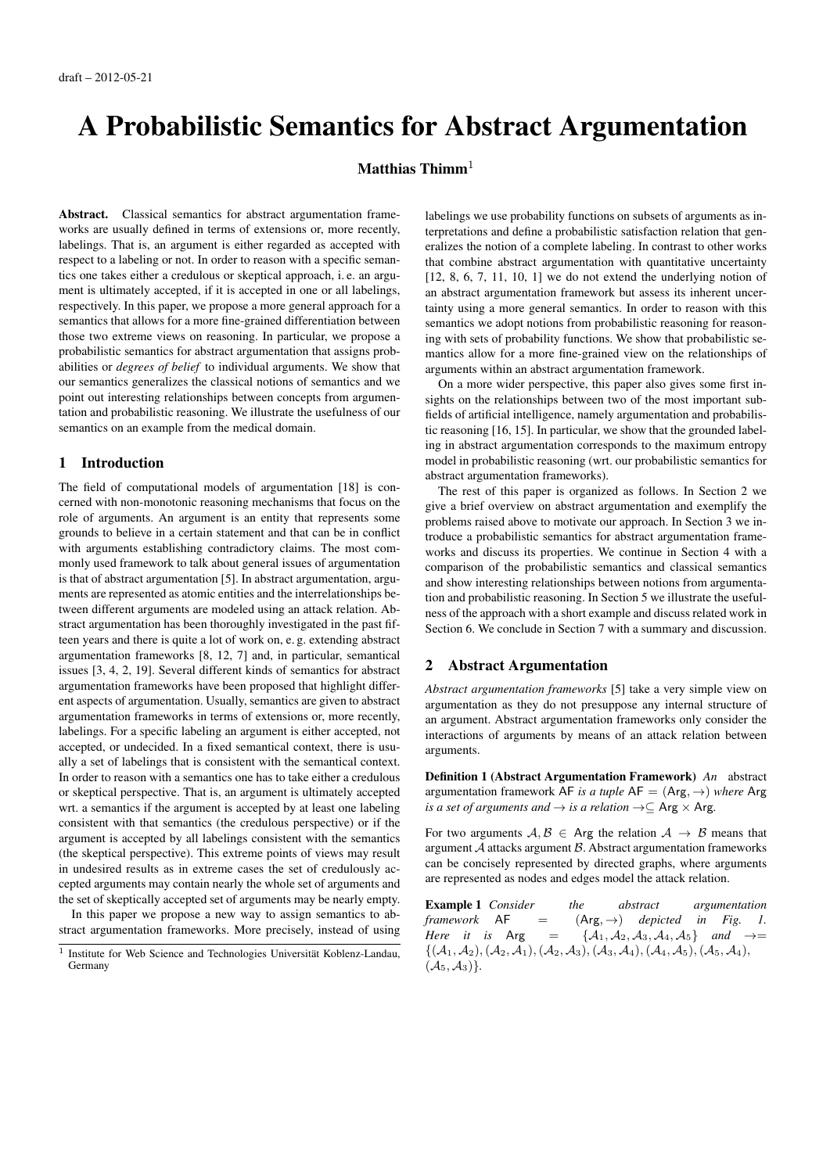# A Probabilistic Semantics for Abstract Argumentation

## Matthias  $Thimm<sup>1</sup>$

Abstract. Classical semantics for abstract argumentation frameworks are usually defined in terms of extensions or, more recently, labelings. That is, an argument is either regarded as accepted with respect to a labeling or not. In order to reason with a specific semantics one takes either a credulous or skeptical approach, i. e. an argument is ultimately accepted, if it is accepted in one or all labelings, respectively. In this paper, we propose a more general approach for a semantics that allows for a more fine-grained differentiation between those two extreme views on reasoning. In particular, we propose a probabilistic semantics for abstract argumentation that assigns probabilities or *degrees of belief* to individual arguments. We show that our semantics generalizes the classical notions of semantics and we point out interesting relationships between concepts from argumentation and probabilistic reasoning. We illustrate the usefulness of our semantics on an example from the medical domain.

## 1 Introduction

The field of computational models of argumentation [18] is concerned with non-monotonic reasoning mechanisms that focus on the role of arguments. An argument is an entity that represents some grounds to believe in a certain statement and that can be in conflict with arguments establishing contradictory claims. The most commonly used framework to talk about general issues of argumentation is that of abstract argumentation [5]. In abstract argumentation, arguments are represented as atomic entities and the interrelationships between different arguments are modeled using an attack relation. Abstract argumentation has been thoroughly investigated in the past fifteen years and there is quite a lot of work on, e. g. extending abstract argumentation frameworks [8, 12, 7] and, in particular, semantical issues [3, 4, 2, 19]. Several different kinds of semantics for abstract argumentation frameworks have been proposed that highlight different aspects of argumentation. Usually, semantics are given to abstract argumentation frameworks in terms of extensions or, more recently, labelings. For a specific labeling an argument is either accepted, not accepted, or undecided. In a fixed semantical context, there is usually a set of labelings that is consistent with the semantical context. In order to reason with a semantics one has to take either a credulous or skeptical perspective. That is, an argument is ultimately accepted wrt. a semantics if the argument is accepted by at least one labeling consistent with that semantics (the credulous perspective) or if the argument is accepted by all labelings consistent with the semantics (the skeptical perspective). This extreme points of views may result in undesired results as in extreme cases the set of credulously accepted arguments may contain nearly the whole set of arguments and the set of skeptically accepted set of arguments may be nearly empty.

In this paper we propose a new way to assign semantics to abstract argumentation frameworks. More precisely, instead of using labelings we use probability functions on subsets of arguments as interpretations and define a probabilistic satisfaction relation that generalizes the notion of a complete labeling. In contrast to other works that combine abstract argumentation with quantitative uncertainty  $[12, 8, 6, 7, 11, 10, 1]$  we do not extend the underlying notion of an abstract argumentation framework but assess its inherent uncertainty using a more general semantics. In order to reason with this semantics we adopt notions from probabilistic reasoning for reasoning with sets of probability functions. We show that probabilistic semantics allow for a more fine-grained view on the relationships of arguments within an abstract argumentation framework.

On a more wider perspective, this paper also gives some first insights on the relationships between two of the most important subfields of artificial intelligence, namely argumentation and probabilistic reasoning [16, 15]. In particular, we show that the grounded labeling in abstract argumentation corresponds to the maximum entropy model in probabilistic reasoning (wrt. our probabilistic semantics for abstract argumentation frameworks).

The rest of this paper is organized as follows. In Section 2 we give a brief overview on abstract argumentation and exemplify the problems raised above to motivate our approach. In Section 3 we introduce a probabilistic semantics for abstract argumentation frameworks and discuss its properties. We continue in Section 4 with a comparison of the probabilistic semantics and classical semantics and show interesting relationships between notions from argumentation and probabilistic reasoning. In Section 5 we illustrate the usefulness of the approach with a short example and discuss related work in Section 6. We conclude in Section 7 with a summary and discussion.

#### 2 Abstract Argumentation

*Abstract argumentation frameworks* [5] take a very simple view on argumentation as they do not presuppose any internal structure of an argument. Abstract argumentation frameworks only consider the interactions of arguments by means of an attack relation between arguments.

Definition 1 (Abstract Argumentation Framework) *An* abstract argumentation framework AF *is a tuple*  $AF = (Arg, \rightarrow)$  *where* Arg *is a set of arguments and*  $\rightarrow$  *is a relation*  $\rightarrow \subseteq$  Arg  $\times$  Arg.

For two arguments  $A, B \in \text{Arg}$  the relation  $A \rightarrow B$  means that argument  $A$  attacks argument  $B$ . Abstract argumentation frameworks can be concisely represented by directed graphs, where arguments are represented as nodes and edges model the attack relation.

Example 1 *Consider the abstract argumentation framework*  $AF = (Arg, \rightarrow)$  *depicted in Fig. 1. Here it is* Arg =  $\{A_1, A_2, A_3, A_4, A_5\}$  *and*  $\rightarrow$  $\{(\mathcal{A}_1, \mathcal{A}_2),(\mathcal{A}_2, \mathcal{A}_1),(\mathcal{A}_2, \mathcal{A}_3),(\mathcal{A}_3, \mathcal{A}_4),(\mathcal{A}_4, \mathcal{A}_5),(\mathcal{A}_5, \mathcal{A}_4),$  $(\mathcal{A}_5, \mathcal{A}_3)$ .

<sup>&</sup>lt;sup>1</sup> Institute for Web Science and Technologies Universität Koblenz-Landau, Germany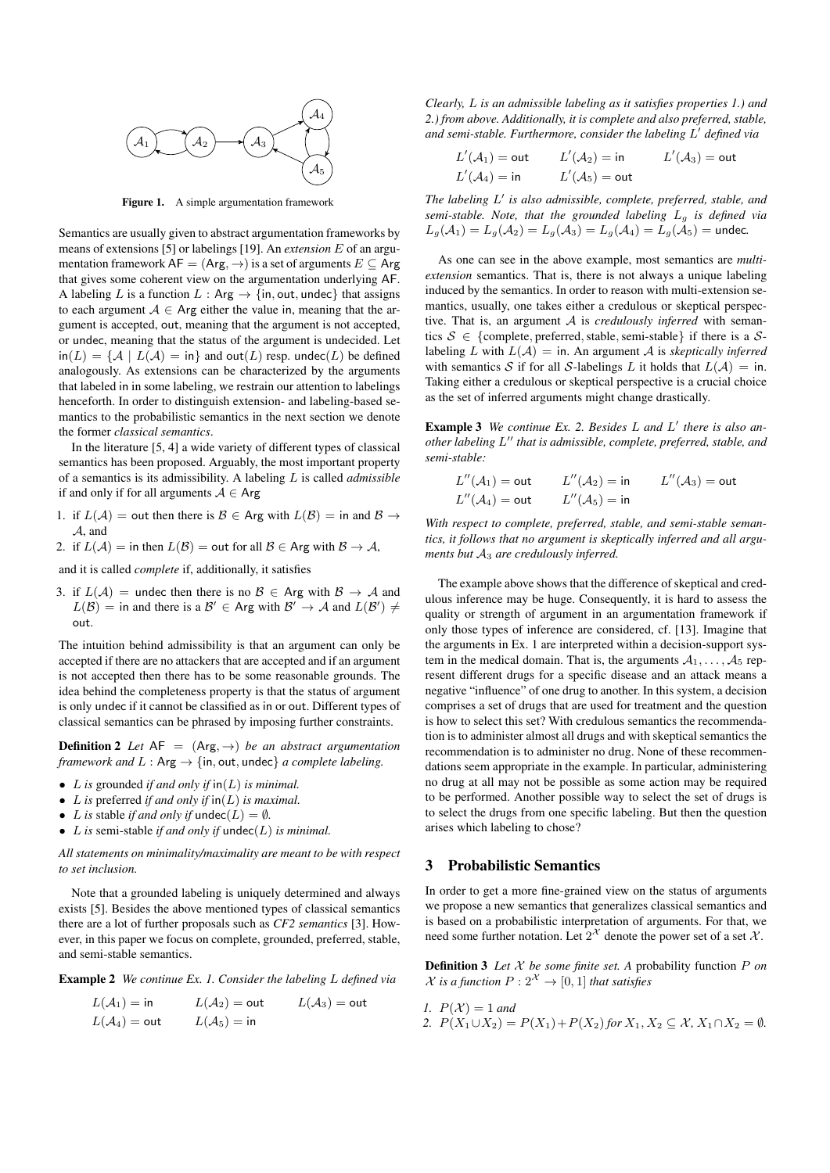

Figure 1. A simple argumentation framework

Semantics are usually given to abstract argumentation frameworks by means of extensions [5] or labelings [19]. An *extension* E of an argumentation framework  $AF = (Arg, \rightarrow)$  is a set of arguments  $E \subseteq Arg$ that gives some coherent view on the argumentation underlying AF. A labeling L is a function  $L : \mathsf{Arg} \to \{\text{in}, \text{out}, \text{undec}\}\$ that assigns to each argument  $A \in \text{Arg}$  either the value in, meaning that the argument is accepted, out, meaning that the argument is not accepted, or undec, meaning that the status of the argument is undecided. Let  $\text{in}(L) = \{A \mid L(A) = \text{in}\}\$ and out $(L)$  resp. undec $(L)$  be defined analogously. As extensions can be characterized by the arguments that labeled in in some labeling, we restrain our attention to labelings henceforth. In order to distinguish extension- and labeling-based semantics to the probabilistic semantics in the next section we denote the former *classical semantics*.

In the literature [5, 4] a wide variety of different types of classical semantics has been proposed. Arguably, the most important property of a semantics is its admissibility. A labeling L is called *admissible* if and only if for all arguments  $A \in \mathsf{Arg}$ 

- 1. if  $L(\mathcal{A}) =$  out then there is  $\mathcal{B} \in \mathsf{Arg}$  with  $L(\mathcal{B}) =$  in and  $\mathcal{B} \rightarrow$ A, and
- 2. if  $L(\mathcal{A}) = \text{in}$  then  $L(\mathcal{B}) = \text{out}$  for all  $\mathcal{B} \in \mathsf{Arg}$  with  $\mathcal{B} \to \mathcal{A}$ ,

and it is called *complete* if, additionally, it satisfies

3. if  $L(\mathcal{A}) =$  undec then there is no  $\mathcal{B} \in \mathsf{Arg}$  with  $\mathcal{B} \to \mathcal{A}$  and  $L(\mathcal{B}) = \text{in}$  and there is a  $\mathcal{B}' \in \text{Arg with } \mathcal{B}' \to \mathcal{A}$  and  $L(\mathcal{B}') \neq$ out.

The intuition behind admissibility is that an argument can only be accepted if there are no attackers that are accepted and if an argument is not accepted then there has to be some reasonable grounds. The idea behind the completeness property is that the status of argument is only undec if it cannot be classified as in or out. Different types of classical semantics can be phrased by imposing further constraints.

Definition 2 *Let* AF = (Arg, →) *be an abstract argumentation framework and*  $L : \text{Arg} \to \{\text{in}, \text{out}, \text{undec}\}\$ a complete labeling.

- L *is* grounded *if and only if* in(L) *is minimal.*
- L *is* preferred *if and only if* in(L) *is maximal.*
- *L is* stable *if and only if*  $\text{undec}(L) = \emptyset$ *.*
- L *is* semi-stable *if and only if* undec(L) *is minimal.*

*All statements on minimality/maximality are meant to be with respect to set inclusion.*

Note that a grounded labeling is uniquely determined and always exists [5]. Besides the above mentioned types of classical semantics there are a lot of further proposals such as *CF2 semantics* [3]. However, in this paper we focus on complete, grounded, preferred, stable, and semi-stable semantics.

Example 2 *We continue Ex. 1. Consider the labeling* L *defined via*

$$
L(A_1) = \text{in}
$$
  $L(A_2) = \text{out}$   $L(A_3) = \text{out}$   
 $L(A_4) = \text{out}$   $L(A_5) = \text{in}$ 

*Clearly,* L *is an admissible labeling as it satisfies properties 1.) and 2.) from above. Additionally, it is complete and also preferred, stable, and semi-stable. Furthermore, consider the labeling* L 0 *defined via*

$$
L'(\mathcal{A}_1) = \text{out}
$$
  $L'(\mathcal{A}_2) = \text{in}$   $L'(\mathcal{A}_3) = \text{out}$   
 $L'(\mathcal{A}_4) = \text{in}$   $L'(\mathcal{A}_5) = \text{out}$ 

The labeling L' is also admissible, complete, preferred, stable, and *semi-stable. Note, that the grounded labeling* L<sup>g</sup> *is defined via*  $L_g(\mathcal{A}_1) = L_g(\mathcal{A}_2) = L_g(\mathcal{A}_3) = L_g(\mathcal{A}_4) = L_g(\mathcal{A}_5) = \text{undec.}$ 

As one can see in the above example, most semantics are *multiextension* semantics. That is, there is not always a unique labeling induced by the semantics. In order to reason with multi-extension semantics, usually, one takes either a credulous or skeptical perspective. That is, an argument A is *credulously inferred* with semantics  $S \in \{\text{complete}, \text{ preferred}, \text{stable}, \text{semi-stable}\}\$ if there is a  $S$ labeling L with  $L(\mathcal{A}) = \text{in. An argument } \mathcal{A}$  is *skeptically inferred* with semantics S if for all S-labelings L it holds that  $L(\mathcal{A}) = \text{in}$ . Taking either a credulous or skeptical perspective is a crucial choice as the set of inferred arguments might change drastically.

Example 3 We continue Ex. 2. Besides L and L' there is also another labeling L" that is admissible, complete, preferred, stable, and *semi-stable:*

$$
L''(\mathcal{A}_1) = \text{out} \qquad L''(\mathcal{A}_2) = \text{in} \qquad L''(\mathcal{A}_3) = \text{out}
$$
  

$$
L''(\mathcal{A}_4) = \text{out} \qquad L''(\mathcal{A}_5) = \text{in}
$$

*With respect to complete, preferred, stable, and semi-stable semantics, it follows that no argument is skeptically inferred and all arguments but* A<sup>3</sup> *are credulously inferred.*

The example above shows that the difference of skeptical and credulous inference may be huge. Consequently, it is hard to assess the quality or strength of argument in an argumentation framework if only those types of inference are considered, cf. [13]. Imagine that the arguments in Ex. 1 are interpreted within a decision-support system in the medical domain. That is, the arguments  $A_1, \ldots, A_5$  represent different drugs for a specific disease and an attack means a negative "influence" of one drug to another. In this system, a decision comprises a set of drugs that are used for treatment and the question is how to select this set? With credulous semantics the recommendation is to administer almost all drugs and with skeptical semantics the recommendation is to administer no drug. None of these recommendations seem appropriate in the example. In particular, administering no drug at all may not be possible as some action may be required to be performed. Another possible way to select the set of drugs is to select the drugs from one specific labeling. But then the question arises which labeling to chose?

#### 3 Probabilistic Semantics

In order to get a more fine-grained view on the status of arguments we propose a new semantics that generalizes classical semantics and is based on a probabilistic interpretation of arguments. For that, we need some further notation. Let  $2^{\mathcal{X}}$  denote the power set of a set  $\mathcal{X}$ .

Definition 3 *Let* X *be some finite set. A* probability function P *on*  $\mathcal X$  *is a function*  $P: 2^{\mathcal X} \to [0, 1]$  *that satisfies* 

*I.* 
$$
P(X) = 1
$$
 and  
2.  $P(X_1 \cup X_2) = P(X_1) + P(X_2)$  for  $X_1, X_2 \subseteq \mathcal{X}, X_1 \cap X_2 = \emptyset$ .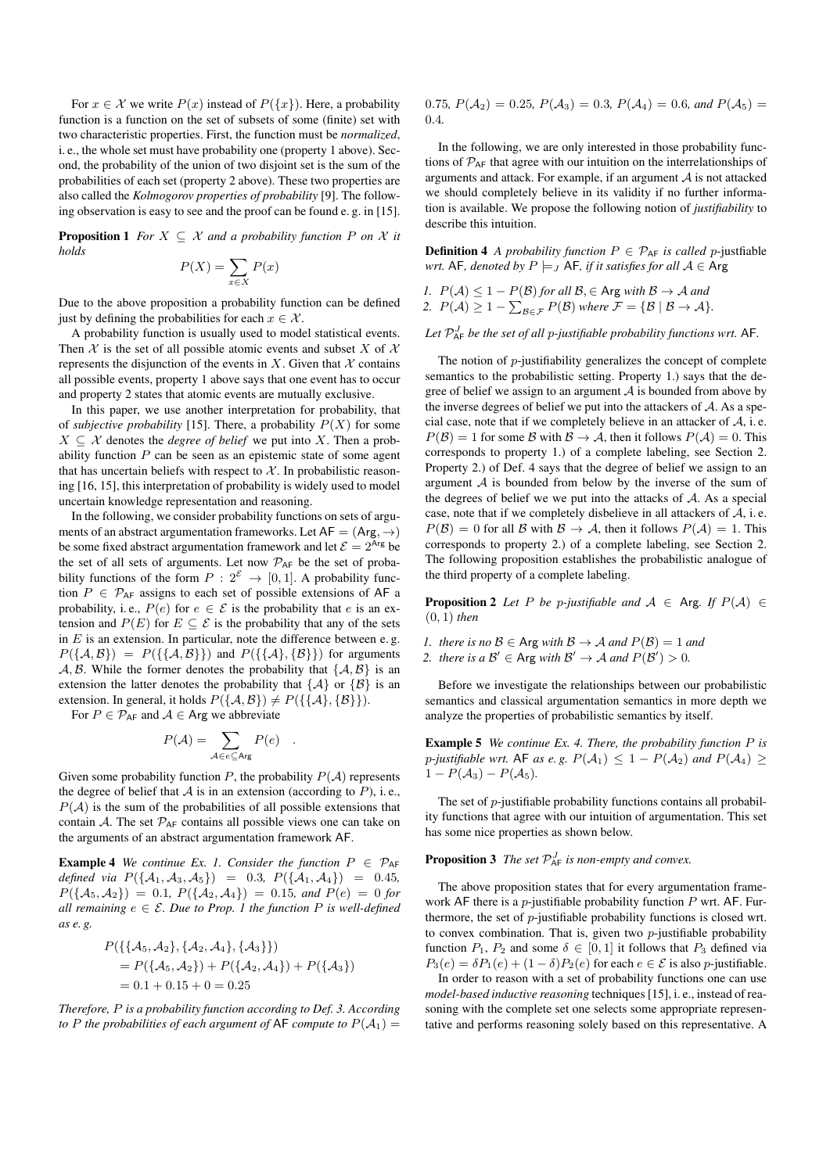For  $x \in \mathcal{X}$  we write  $P(x)$  instead of  $P({x})$ . Here, a probability function is a function on the set of subsets of some (finite) set with two characteristic properties. First, the function must be *normalized*, i. e., the whole set must have probability one (property 1 above). Second, the probability of the union of two disjoint set is the sum of the probabilities of each set (property 2 above). These two properties are also called the *Kolmogorov properties of probability* [9]. The following observation is easy to see and the proof can be found e. g. in [15].

**Proposition 1** *For*  $X \subseteq \mathcal{X}$  *and a probability function P on*  $\mathcal{X}$  *it holds*

$$
P(X) = \sum_{x \in X} P(x)
$$

Due to the above proposition a probability function can be defined just by defining the probabilities for each  $x \in \mathcal{X}$ .

A probability function is usually used to model statistical events. Then  $X$  is the set of all possible atomic events and subset X of X represents the disjunction of the events in X. Given that  $\mathcal X$  contains all possible events, property 1 above says that one event has to occur and property 2 states that atomic events are mutually exclusive.

In this paper, we use another interpretation for probability, that of *subjective probability* [15]. There, a probability  $P(X)$  for some  $X \subseteq \mathcal{X}$  denotes the *degree of belief* we put into X. Then a probability function  $P$  can be seen as an epistemic state of some agent that has uncertain beliefs with respect to  $X$ . In probabilistic reasoning [16, 15], this interpretation of probability is widely used to model uncertain knowledge representation and reasoning.

In the following, we consider probability functions on sets of arguments of an abstract argumentation frameworks. Let  $AF = (Arg, \rightarrow)$ be some fixed abstract argumentation framework and let  $\mathcal{E} = 2^{Arg}$  be the set of all sets of arguments. Let now  $\mathcal{P}_{AF}$  be the set of probability functions of the form  $P: 2^{\mathcal{E}} \rightarrow [0, 1]$ . A probability function  $P \in \mathcal{P}_{AF}$  assigns to each set of possible extensions of AF a probability, i.e.,  $P(e)$  for  $e \in \mathcal{E}$  is the probability that e is an extension and  $P(E)$  for  $E \subseteq \mathcal{E}$  is the probability that any of the sets in  $E$  is an extension. In particular, note the difference between e.g.  $P({\mathcal{A}, \mathcal{B}}) = P({\mathcal{A}, \mathcal{B}})$  and  $P({\mathcal{A}, \mathcal{B}})$  for arguments  $A, B$ . While the former denotes the probability that  $\{A, B\}$  is an extension the latter denotes the probability that  $\{A\}$  or  $\{B\}$  is an extension. In general, it holds  $P({A, B}) \neq P({ {\A}, \{B\}}).$ 

For  $P \in \mathcal{P}_{AF}$  and  $\mathcal{A} \in \text{Arg}$  we abbreviate

$$
P(\mathcal{A}) = \sum_{\mathcal{A} \in e \subseteq \text{Arg}} P(e) \quad .
$$

Given some probability function P, the probability  $P(A)$  represents the degree of belief that  $A$  is in an extension (according to  $P$ ), i.e.,  $P(A)$  is the sum of the probabilities of all possible extensions that contain  $A$ . The set  $\mathcal{P}_{AF}$  contains all possible views one can take on the arguments of an abstract argumentation framework AF.

**Example 4** *We continue Ex. 1. Consider the function*  $P \in \mathcal{P}_{AF}$ *defined via*  $P({A_1, A_3, A_5}) = 0.3$ ,  $P({A_1, A_4}) = 0.45$ ,  $P({A_5, A_2}) = 0.1$ ,  $P({A_2, A_4}) = 0.15$ , and  $P(e) = 0$  for *all remaining*  $e \in \mathcal{E}$ *. Due to Prop. 1 the function P is well-defined as e. g.*

$$
P(\{\{\mathcal{A}_5, \mathcal{A}_2\}, \{\mathcal{A}_2, \mathcal{A}_4\}, \{\mathcal{A}_3\}\})
$$
  
=  $P(\{\mathcal{A}_5, \mathcal{A}_2\}) + P(\{\mathcal{A}_2, \mathcal{A}_4\}) + P(\{\mathcal{A}_3\})$   
= 0.1 + 0.15 + 0 = 0.25

*Therefore,* P *is a probability function according to Def. 3. According to P* the probabilities of each argument of AF compute to  $P(A_1)$  =

0.75*,*  $P(A_2) = 0.25$ ,  $P(A_3) = 0.3$ ,  $P(A_4) = 0.6$ *, and*  $P(A_5) =$ 0.4*.*

In the following, we are only interested in those probability functions of  $\mathcal{P}_{AF}$  that agree with our intuition on the interrelationships of arguments and attack. For example, if an argument  $A$  is not attacked we should completely believe in its validity if no further information is available. We propose the following notion of *justifiability* to describe this intuition.

**Definition 4** *A probability function*  $P \in \mathcal{P}_{AF}$  *is called p*-justfiable *wrt.* AF, denoted by  $P \models_J A$ F, if it satisfies for all  $A \in \text{Arg}$ 

\n- $$
P(\mathcal{A}) \leq 1 - P(\mathcal{B})
$$
 for all  $\mathcal{B}, \in \text{Arg with } \mathcal{B} \to \mathcal{A}$  and
\n- $P(\mathcal{A}) \geq 1 - \sum_{\mathcal{B} \in \mathcal{F}} P(\mathcal{B})$  where  $\mathcal{F} = \{\mathcal{B} \mid \mathcal{B} \to \mathcal{A}\}$ .
\n

Let  $\mathcal{P}_{\mathsf{AF}}^J$  be the set of all p-justifiable probability functions wrt. AF.

The notion of  $p$ -justifiability generalizes the concept of complete semantics to the probabilistic setting. Property 1.) says that the degree of belief we assign to an argument  $A$  is bounded from above by the inverse degrees of belief we put into the attackers of  $A$ . As a special case, note that if we completely believe in an attacker of  $A$ , i.e.  $P(\mathcal{B}) = 1$  for some  $\mathcal{B}$  with  $\mathcal{B} \to \mathcal{A}$ , then it follows  $P(\mathcal{A}) = 0$ . This corresponds to property 1.) of a complete labeling, see Section 2. Property 2.) of Def. 4 says that the degree of belief we assign to an argument  $A$  is bounded from below by the inverse of the sum of the degrees of belief we we put into the attacks of  $A$ . As a special case, note that if we completely disbelieve in all attackers of  $A$ , i.e.  $P(\mathcal{B}) = 0$  for all  $\mathcal{B}$  with  $\mathcal{B} \to \mathcal{A}$ , then it follows  $P(\mathcal{A}) = 1$ . This corresponds to property 2.) of a complete labeling, see Section 2. The following proposition establishes the probabilistic analogue of the third property of a complete labeling.

**Proposition 2** *Let* P *be p*-justifiable and  $A \in \text{Arg}$ . If  $P(A) \in$ (0, 1) *then*

- *1. there is no*  $B \in \text{Arg with } B \to A$  *and*  $P(B) = 1$  *and*
- 2. *there is a*  $\mathcal{B}' \in \text{Arg with } \mathcal{B}' \to \mathcal{A}$  *and*  $P(\mathcal{B}') > 0$ *.*

Before we investigate the relationships between our probabilistic semantics and classical argumentation semantics in more depth we analyze the properties of probabilistic semantics by itself.

Example 5 *We continue Ex. 4. There, the probability function* P *is p*-justifiable wrt. AF as e.g.  $P(A_1) \leq 1 - P(A_2)$  and  $P(A_4) \geq$  $1 - P(\mathcal{A}_3) - P(\mathcal{A}_5)$ .

The set of  $p$ -justifiable probability functions contains all probability functions that agree with our intuition of argumentation. This set has some nice properties as shown below.

# **Proposition 3** *The set*  $\mathcal{P}_{AF}^{J}$  *is non-empty and convex.*

The above proposition states that for every argumentation framework AF there is a *p*-justifiable probability function  $P$  wrt. AF. Furthermore, the set of  $p$ -justifiable probability functions is closed wrt. to convex combination. That is, given two  $p$ -justifiable probability function  $P_1$ ,  $P_2$  and some  $\delta \in [0,1]$  it follows that  $P_3$  defined via  $P_3(e) = \delta P_1(e) + (1 - \delta)P_2(e)$  for each  $e \in \mathcal{E}$  is also *p*-justifiable. In order to reason with a set of probability functions one can use

*model-based inductive reasoning* techniques [15], i. e., instead of reasoning with the complete set one selects some appropriate representative and performs reasoning solely based on this representative. A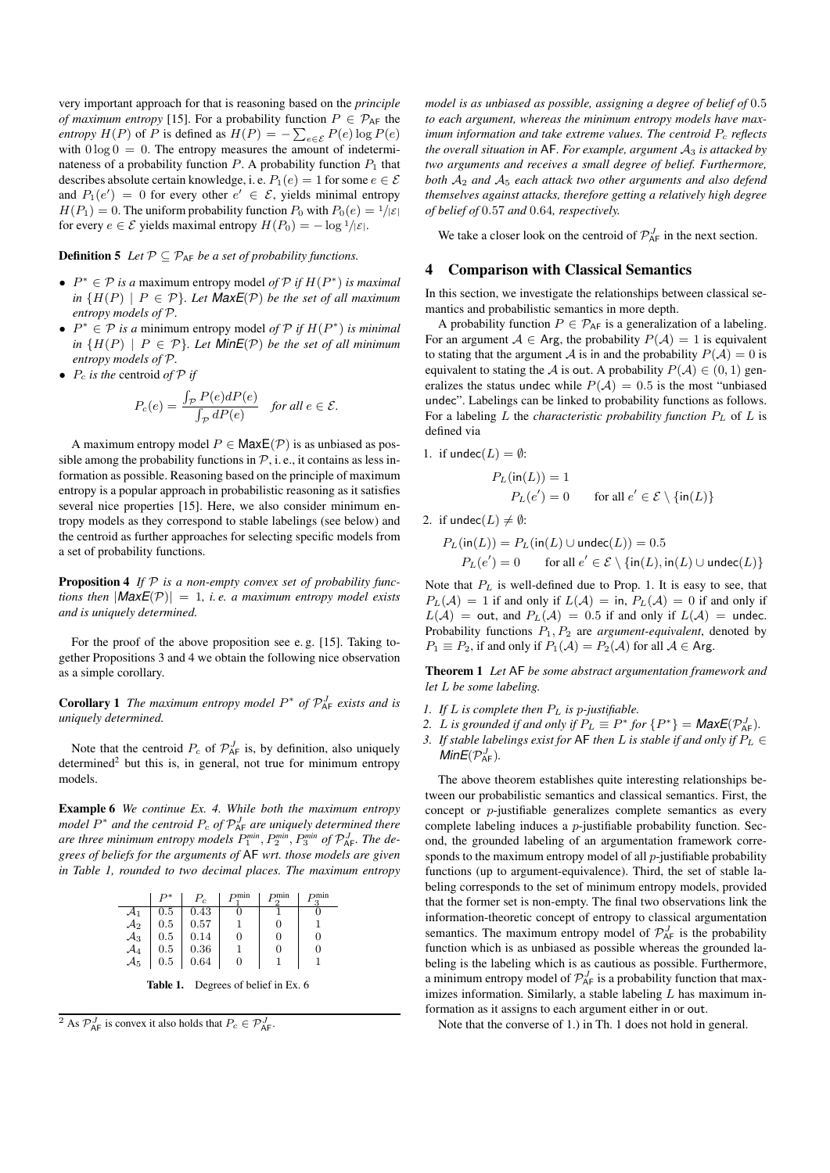very important approach for that is reasoning based on the *principle of maximum entropy* [15]. For a probability function  $P \in \mathcal{P}_{AF}$  the *entropy*  $H(P)$  of P is defined as  $H(P) = -\sum_{e \in \mathcal{E}} P(e) \log P(e)$ with  $0 \log 0 = 0$ . The entropy measures the amount of indeterminateness of a probability function  $P$ . A probability function  $P_1$  that describes absolute certain knowledge, i.e.  $P_1(e) = 1$  for some  $e \in \mathcal{E}$ and  $P_1(e') = 0$  for every other  $e' \in \mathcal{E}$ , yields minimal entropy  $H(P_1) = 0$ . The uniform probability function  $P_0$  with  $P_0(e) = 1/|\varepsilon|$ for every  $e \in \mathcal{E}$  yields maximal entropy  $H(P_0) = -\log 1/|\mathcal{E}|$ .

**Definition 5** *Let*  $P \subseteq P_{\text{AF}}$  *be a set of probability functions.* 

- $P^* \in \mathcal{P}$  *is a* maximum entropy model *of*  $\mathcal{P}$  *if*  $H(P^*)$  *is maximal in*  $\{H(P) \mid P \in \mathcal{P}\}\$ *. Let MaxE(P) be the set of all maximum entropy models of* P*.*
- $P^* \in \mathcal{P}$  *is a* minimum entropy model *of*  $\mathcal{P}$  *if*  $H(P^*)$  *is minimal in*  $\{H(P) \mid P \in \mathcal{P}\}\$ *. Let*  $\textsf{MinE}(\mathcal{P})$  *be the set of all minimum entropy models of* P*.*
- $P_c$  *is the centroid of*  $\mathcal P$  *if*

$$
P_c(e) = \frac{\int_{\mathcal{P}} P(e) dP(e)}{\int_{\mathcal{P}} dP(e)} \quad \text{for all } e \in \mathcal{E}.
$$

A maximum entropy model  $P \in \text{MaxE}(\mathcal{P})$  is as unbiased as possible among the probability functions in  $P$ , i. e., it contains as less information as possible. Reasoning based on the principle of maximum entropy is a popular approach in probabilistic reasoning as it satisfies several nice properties [15]. Here, we also consider minimum entropy models as they correspond to stable labelings (see below) and the centroid as further approaches for selecting specific models from a set of probability functions.

**Proposition 4** If  $P$  is a non-empty convex set of probability func*tions then*  $|MaxE(\mathcal{P})| = 1$ , *i.e. a maximum entropy model exists and is uniquely determined.*

For the proof of the above proposition see e. g. [15]. Taking together Propositions 3 and 4 we obtain the following nice observation as a simple corollary.

**Corollary 1** The maximum entropy model  $P^*$  of  $\mathcal{P}_{AF}^J$  exists and is *uniquely determined.*

Note that the centroid  $P_c$  of  $\mathcal{P}_{AF}^{J}$  is, by definition, also uniquely determined<sup>2</sup> but this is, in general, not true for minimum entropy models.

Example 6 *We continue Ex. 4. While both the maximum entropy model*  $P^*$  and the centroid  $P_c$  of  $\mathcal{P}_{\mathsf{AF}}^J$  are uniquely determined there are three minimum entropy models  $P_1^{min}$ ,  $P_2^{min}$ ,  $P_3^{min}$  of  $\mathcal{P}_{\mathsf{AF}}^J$ . The de*grees of beliefs for the arguments of* AF *wrt. those models are given in Table 1, rounded to two decimal places. The maximum entropy*

|                                       |         | P,   | Dmin | r <sub>min</sub> | ∍min<br>↷ |
|---------------------------------------|---------|------|------|------------------|-----------|
|                                       | 0.5     | 0.43 | O    |                  |           |
| $\frac{\mathcal{A}_1}{\mathcal{A}_2}$ | 0.5     | 0.57 |      | O                |           |
| $\mathcal{A}_3$                       | 0.5     | 0.14 |      | 0                | 0         |
|                                       | $0.5\,$ | 0.36 |      | $\theta$         |           |
| $\frac{\mathcal{A}_4}{\mathcal{A}_5}$ | 0.5     | 0.64 | 0    |                  |           |
|                                       |         |      |      |                  |           |

Table 1. Degrees of belief in Ex. 6

<sup>2</sup> As  $\mathcal{P}_{\mathsf{AF}}^J$  is convex it also holds that  $P_c \in \mathcal{P}_{\mathsf{AF}}^J$ .

*model is as unbiased as possible, assigning a degree of belief of* 0.5 *to each argument, whereas the minimum entropy models have maximum information and take extreme values. The centroid*  $P_c$  *reflects the overall situation in* AF*. For example, argument* A<sup>3</sup> *is attacked by two arguments and receives a small degree of belief. Furthermore, both* A<sup>2</sup> *and* A<sup>5</sup> *each attack two other arguments and also defend themselves against attacks, therefore getting a relatively high degree of belief of* 0.57 *and* 0.64*, respectively.*

We take a closer look on the centroid of  $\mathcal{P}_{AF}^J$  in the next section.

#### 4 Comparison with Classical Semantics

In this section, we investigate the relationships between classical semantics and probabilistic semantics in more depth.

A probability function  $P \in \mathcal{P}_{AF}$  is a generalization of a labeling. For an argument  $A \in \text{Arg}$ , the probability  $P(A) = 1$  is equivalent to stating that the argument A is in and the probability  $P(A) = 0$  is equivalent to stating the A is out. A probability  $P(A) \in (0, 1)$  generalizes the status undec while  $P(A) = 0.5$  is the most "unbiased" undec". Labelings can be linked to probability functions as follows. For a labeling  $L$  the *characteristic probability function*  $P_L$  of  $L$  is defined via

1. if undec( $L$ ) =  $\emptyset$ :

$$
P_L(\text{in}(L)) = 1
$$
  
 
$$
P_L(e') = 0 \qquad \text{for all } e' \in \mathcal{E} \setminus \{\text{in}(L)\}\
$$

2. if undec( $L$ )  $\neq \emptyset$ :

$$
P_L(\text{in}(L)) = P_L(\text{in}(L) \cup \text{undec}(L)) = 0.5
$$
  

$$
P_L(e') = 0 \qquad \text{for all } e' \in \mathcal{E} \setminus \{\text{in}(L), \text{in}(L) \cup \text{undec}(L)\}\
$$

Note that  $P_L$  is well-defined due to Prop. 1. It is easy to see, that  $P_L(\mathcal{A}) = 1$  if and only if  $L(\mathcal{A}) = \text{in}$ ,  $P_L(\mathcal{A}) = 0$  if and only if  $L(\mathcal{A}) = \text{out}$ , and  $P_L(\mathcal{A}) = 0.5$  if and only if  $L(\mathcal{A}) = \text{undec}$ . Probability functions P1, P<sup>2</sup> are *argument-equivalent*, denoted by  $P_1 \equiv P_2$ , if and only if  $P_1(\mathcal{A}) = P_2(\mathcal{A})$  for all  $\mathcal{A} \in \mathsf{Arg}$ .

Theorem 1 *Let* AF *be some abstract argumentation framework and let* L *be some labeling.*

- *1. If* L *is complete then* P<sup>L</sup> *is* p*-justifiable.*
- 2. L is grounded if and only if  $P_L \equiv P^*$  for  $\{P^*\} = \text{MaxE}(\mathcal{P}_{\mathsf{AF}}^J)$ .
- *3. If stable labelings exist for*  $AF$  *then*  $L$  *is stable if and only if*  $P_L \in$  $MinE(\mathcal{P}_{AF}^{J})$ .

The above theorem establishes quite interesting relationships between our probabilistic semantics and classical semantics. First, the concept or p-justifiable generalizes complete semantics as every complete labeling induces a p-justifiable probability function. Second, the grounded labeling of an argumentation framework corresponds to the maximum entropy model of all  $p$ -justifiable probability functions (up to argument-equivalence). Third, the set of stable labeling corresponds to the set of minimum entropy models, provided that the former set is non-empty. The final two observations link the information-theoretic concept of entropy to classical argumentation semantics. The maximum entropy model of  $\mathcal{P}_{AF}^{J}$  is the probability function which is as unbiased as possible whereas the grounded labeling is the labeling which is as cautious as possible. Furthermore, a minimum entropy model of  $\mathcal{P}_{AF}^{J}$  is a probability function that maximizes information. Similarly, a stable labeling  $L$  has maximum information as it assigns to each argument either in or out.

Note that the converse of 1.) in Th. 1 does not hold in general.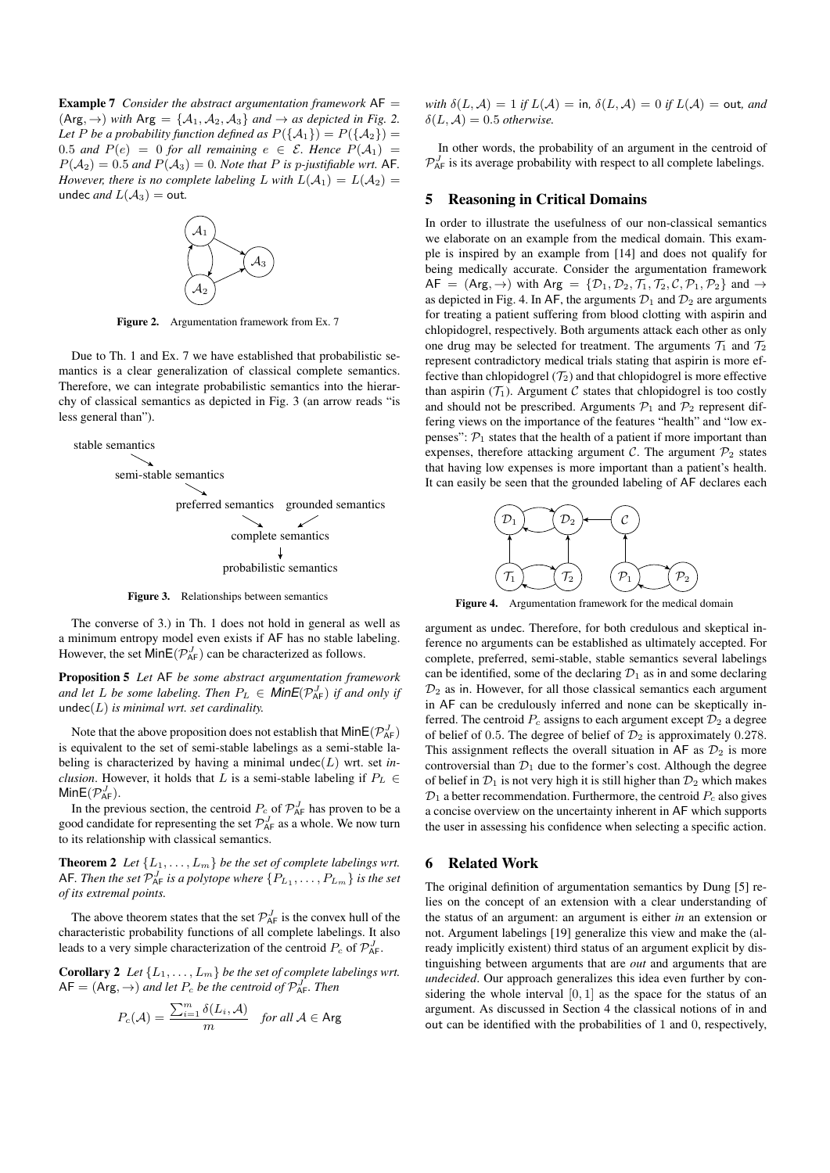Example 7 *Consider the abstract argumentation framework* AF =  $(\text{Arg}, \rightarrow)$  *with*  $\text{Arg} = {\mathcal{A}_1, \mathcal{A}_2, \mathcal{A}_3}$  *and*  $\rightarrow$  *as depicted in Fig. 2.* Let P be a probability function defined as  $P({A_1}) = P({A_2}) =$ 0.5 and  $P(e) = 0$  for all remaining  $e \in \mathcal{E}$ . Hence  $P(\mathcal{A}_1) =$  $P(A_2) = 0.5$  *and*  $P(A_3) = 0$ *. Note that* P *is* p-justifiable wrt. AF. *However, there is no complete labeling L* with  $L(A_1) = L(A_2) =$ undec *and*  $L(A_3) =$  out.



Figure 2. Argumentation framework from Ex. 7

Due to Th. 1 and Ex. 7 we have established that probabilistic semantics is a clear generalization of classical complete semantics. Therefore, we can integrate probabilistic semantics into the hierarchy of classical semantics as depicted in Fig. 3 (an arrow reads "is less general than").



Figure 3. Relationships between semantics

The converse of 3.) in Th. 1 does not hold in general as well as a minimum entropy model even exists if AF has no stable labeling. However, the set  $\textsf{MinE}(\mathcal{P}_{\textsf{AF}}^J)$  can be characterized as follows.

Proposition 5 *Let* AF *be some abstract argumentation framework* and let L be some labeling. Then  $P_L \in \textsf{MinE}(\mathcal{P}_{\mathsf{AF}}^J)$  if and only if undec(L) *is minimal wrt. set cardinality.*

Note that the above proposition does not establish that  $\mathsf{MinE}(\mathcal{P}_{\mathsf{AF}}^{J})$ is equivalent to the set of semi-stable labelings as a semi-stable labeling is characterized by having a minimal undec $(L)$  wrt. set *inclusion*. However, it holds that L is a semi-stable labeling if  $P_L \in$  $\mathsf{MinE}(\mathcal{P}_{\mathsf{AF}}^J)$ .

In the previous section, the centroid  $P_c$  of  $\mathcal{P}_{AF}^J$  has proven to be a good candidate for representing the set  $\mathcal{P}_{AF}^J$  as a whole. We now turn to its relationship with classical semantics.

**Theorem 2** Let  $\{L_1, \ldots, L_m\}$  be the set of complete labelings wrt. AF. Then the set  $\mathcal{P}_{\sf AF}^{J}$  is a polytope where  $\{P_{L_1},\ldots,P_{L_m}\}$  is the set *of its extremal points.*

The above theorem states that the set  $\mathcal{P}_{AF}^{J}$  is the convex hull of the characteristic probability functions of all complete labelings. It also leads to a very simple characterization of the centroid  $P_c$  of  $\mathcal{P}_{AF}^J$ .

**Corollary 2** Let  $\{L_1, \ldots, L_m\}$  be the set of complete labelings wrt.  $\mathsf{AF} = (\mathsf{Arg}, \rightarrow)$  and let  $P_c$  be the centroid of  $\mathcal{P}_{\mathsf{AF}}^J$ . Then

$$
P_c(\mathcal{A}) = \frac{\sum_{i=1}^m \delta(L_i, \mathcal{A})}{m} \quad \text{for all } \mathcal{A} \in \text{Arg}
$$

*with*  $\delta(L, \mathcal{A}) = 1$  *if*  $L(\mathcal{A}) = \text{in}$ ,  $\delta(L, \mathcal{A}) = 0$  *if*  $L(\mathcal{A}) = \text{out}$ , and  $\delta(L, \mathcal{A}) = 0.5$  *otherwise.* 

In other words, the probability of an argument in the centroid of  $\mathcal{P}_{AF}^{J}$  is its average probability with respect to all complete labelings.

#### 5 Reasoning in Critical Domains

In order to illustrate the usefulness of our non-classical semantics we elaborate on an example from the medical domain. This example is inspired by an example from [14] and does not qualify for being medically accurate. Consider the argumentation framework  $AF = (Arg, \rightarrow)$  with  $Arg = {\mathcal{D}_1, \mathcal{D}_2, \mathcal{T}_1, \mathcal{T}_2, \mathcal{C}, \mathcal{P}_1, \mathcal{P}_2}$  and  $\rightarrow$ as depicted in Fig. 4. In AF, the arguments  $\mathcal{D}_1$  and  $\mathcal{D}_2$  are arguments for treating a patient suffering from blood clotting with aspirin and chlopidogrel, respectively. Both arguments attack each other as only one drug may be selected for treatment. The arguments  $\mathcal{T}_1$  and  $\mathcal{T}_2$ represent contradictory medical trials stating that aspirin is more effective than chlopidogrel  $(T_2)$  and that chlopidogrel is more effective than aspirin  $(\mathcal{T}_1)$ . Argument C states that chlopidogrel is too costly and should not be prescribed. Arguments  $P_1$  and  $P_2$  represent differing views on the importance of the features "health" and "low expenses":  $\mathcal{P}_1$  states that the health of a patient if more important than expenses, therefore attacking argument C. The argument  $\mathcal{P}_2$  states that having low expenses is more important than a patient's health. It can easily be seen that the grounded labeling of AF declares each



Figure 4. Argumentation framework for the medical domain

argument as undec. Therefore, for both credulous and skeptical inference no arguments can be established as ultimately accepted. For complete, preferred, semi-stable, stable semantics several labelings can be identified, some of the declaring  $\mathcal{D}_1$  as in and some declaring  $\mathcal{D}_2$  as in. However, for all those classical semantics each argument in AF can be credulously inferred and none can be skeptically inferred. The centroid  $P_c$  assigns to each argument except  $\mathcal{D}_2$  a degree of belief of 0.5. The degree of belief of  $\mathcal{D}_2$  is approximately 0.278. This assignment reflects the overall situation in AF as  $\mathcal{D}_2$  is more controversial than  $\mathcal{D}_1$  due to the former's cost. Although the degree of belief in  $\mathcal{D}_1$  is not very high it is still higher than  $\mathcal{D}_2$  which makes  $\mathcal{D}_1$  a better recommendation. Furthermore, the centroid  $P_c$  also gives a concise overview on the uncertainty inherent in AF which supports the user in assessing his confidence when selecting a specific action.

#### 6 Related Work

The original definition of argumentation semantics by Dung [5] relies on the concept of an extension with a clear understanding of the status of an argument: an argument is either *in* an extension or not. Argument labelings [19] generalize this view and make the (already implicitly existent) third status of an argument explicit by distinguishing between arguments that are *out* and arguments that are *undecided*. Our approach generalizes this idea even further by considering the whole interval  $[0, 1]$  as the space for the status of an argument. As discussed in Section 4 the classical notions of in and out can be identified with the probabilities of 1 and 0, respectively,